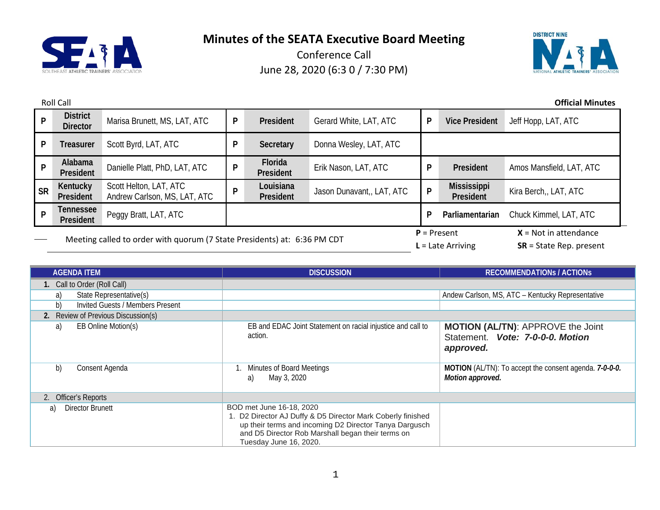



|                                                                          | <b>Roll Call</b><br><b>Official Minutes</b> |                                                        |   |                        |                           |                           |                                 |                          |
|--------------------------------------------------------------------------|---------------------------------------------|--------------------------------------------------------|---|------------------------|---------------------------|---------------------------|---------------------------------|--------------------------|
| P                                                                        | <b>District</b><br><b>Director</b>          | Marisa Brunett, MS, LAT, ATC                           | P | President              | Gerard White, LAT, ATC    | $\mathsf{P}$              | <b>Vice President</b>           | Jeff Hopp, LAT, ATC      |
| P                                                                        | <b>Treasurer</b>                            | Scott Byrd, LAT, ATC                                   | P | Secretary              | Donna Wesley, LAT, ATC    |                           |                                 |                          |
| P                                                                        | Alabama<br>President                        | Danielle Platt, PhD, LAT, ATC                          | P | Florida<br>President   | Erik Nason, LAT, ATC      | P                         | President                       | Amos Mansfield, LAT, ATC |
| <b>SR</b>                                                                | Kentucky<br>President                       | Scott Helton, LAT, ATC<br>Andrew Carlson, MS, LAT, ATC | P | Louisiana<br>President | Jason Dunavant,, LAT, ATC | P                         | <b>Mississippi</b><br>President | Kira Berch,, LAT, ATC    |
| P                                                                        | <b>Tennessee</b><br>President               | Peggy Bratt, LAT, ATC                                  |   | P                      |                           | Parliamentarian           | Chuck Kimmel, LAT, ATC          |                          |
| Meeting called to order with quorum (7 State Presidents) at: 6:36 PM CDT |                                             |                                                        |   | $P =$ Present          | $L =$ Late Arriving       | $X = Not in attendance$   |                                 |                          |
|                                                                          |                                             |                                                        |   |                        |                           | $SR = State Rep. present$ |                                 |                          |

| <b>AGENDA ITEM</b>                     | <b>DISCUSSION</b>                                                                                                                                                                                                                | <b>RECOMMENDATIONS / ACTIONS</b>                                                          |
|----------------------------------------|----------------------------------------------------------------------------------------------------------------------------------------------------------------------------------------------------------------------------------|-------------------------------------------------------------------------------------------|
| 1. Call to Order (Roll Call)           |                                                                                                                                                                                                                                  |                                                                                           |
| State Representative(s)<br>a)          |                                                                                                                                                                                                                                  | Andew Carlson, MS, ATC - Kentucky Representative                                          |
| b)<br>Invited Guests / Members Present |                                                                                                                                                                                                                                  |                                                                                           |
| 2. Review of Previous Discussion(s)    |                                                                                                                                                                                                                                  |                                                                                           |
| EB Online Motion(s)<br>a)              | EB and EDAC Joint Statement on racial injustice and call to<br>action.                                                                                                                                                           | <b>MOTION (AL/TN): APPROVE the Joint</b><br>Statement. Vote: 7-0-0-0. Motion<br>approved. |
| b)<br>Consent Agenda                   | Minutes of Board Meetings<br>May 3, 2020<br>a)                                                                                                                                                                                   | MOTION (AL/TN): To accept the consent agenda. 7-0-0-0.<br>Motion approved.                |
| 2. Officer's Reports                   |                                                                                                                                                                                                                                  |                                                                                           |
| Director Brunett<br>a)                 | BOD met June 16-18, 2020<br>1. D2 Director AJ Duffy & D5 Director Mark Coberly finished<br>up their terms and incoming D2 Director Tanya Dargusch<br>and D5 Director Rob Marshall began their terms on<br>Tuesday June 16, 2020. |                                                                                           |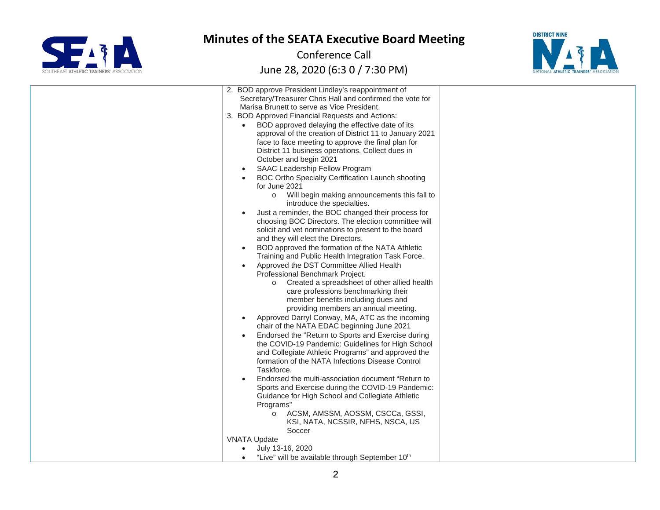



| 2. BOD approve President Lindley's reappointment of<br>Secretary/Treasurer Chris Hall and confirmed the vote for<br>Marisa Brunett to serve as Vice President.<br>3. BOD Approved Financial Requests and Actions:<br>BOD approved delaying the effective date of its<br>$\bullet$<br>approval of the creation of District 11 to January 2021<br>face to face meeting to approve the final plan for<br>District 11 business operations. Collect dues in<br>October and begin 2021<br>SAAC Leadership Fellow Program<br>BOC Ortho Specialty Certification Launch shooting<br>for June 2021<br>Will begin making announcements this fall to<br>$\circ$<br>introduce the specialties.<br>Just a reminder, the BOC changed their process for<br>choosing BOC Directors. The election committee will<br>solicit and vet nominations to present to the board<br>and they will elect the Directors.<br>BOD approved the formation of the NATA Athletic<br>$\bullet$<br>Training and Public Health Integration Task Force.<br>Approved the DST Committee Allied Health<br>Professional Benchmark Project.<br>o Created a spreadsheet of other allied health<br>care professions benchmarking their<br>member benefits including dues and<br>providing members an annual meeting.<br>Approved Darryl Conway, MA, ATC as the incoming<br>chair of the NATA EDAC beginning June 2021<br>Endorsed the "Return to Sports and Exercise during<br>the COVID-19 Pandemic: Guidelines for High School<br>and Collegiate Athletic Programs" and approved the<br>formation of the NATA Infections Disease Control<br>Taskforce.<br>Endorsed the multi-association document "Return to<br>Sports and Exercise during the COVID-19 Pandemic:<br>Guidance for High School and Collegiate Athletic |  |
|----------------------------------------------------------------------------------------------------------------------------------------------------------------------------------------------------------------------------------------------------------------------------------------------------------------------------------------------------------------------------------------------------------------------------------------------------------------------------------------------------------------------------------------------------------------------------------------------------------------------------------------------------------------------------------------------------------------------------------------------------------------------------------------------------------------------------------------------------------------------------------------------------------------------------------------------------------------------------------------------------------------------------------------------------------------------------------------------------------------------------------------------------------------------------------------------------------------------------------------------------------------------------------------------------------------------------------------------------------------------------------------------------------------------------------------------------------------------------------------------------------------------------------------------------------------------------------------------------------------------------------------------------------------------------------------------------------------------------------------------------------------------------|--|
| Programs"                                                                                                                                                                                                                                                                                                                                                                                                                                                                                                                                                                                                                                                                                                                                                                                                                                                                                                                                                                                                                                                                                                                                                                                                                                                                                                                                                                                                                                                                                                                                                                                                                                                                                                                                                                  |  |
| ACSM, AMSSM, AOSSM, CSCCa, GSSI,<br>$\circ$<br>KSI, NATA, NCSSIR, NFHS, NSCA, US<br>Soccer                                                                                                                                                                                                                                                                                                                                                                                                                                                                                                                                                                                                                                                                                                                                                                                                                                                                                                                                                                                                                                                                                                                                                                                                                                                                                                                                                                                                                                                                                                                                                                                                                                                                                 |  |
| <b>VNATA Update</b>                                                                                                                                                                                                                                                                                                                                                                                                                                                                                                                                                                                                                                                                                                                                                                                                                                                                                                                                                                                                                                                                                                                                                                                                                                                                                                                                                                                                                                                                                                                                                                                                                                                                                                                                                        |  |
| July 13-16, 2020                                                                                                                                                                                                                                                                                                                                                                                                                                                                                                                                                                                                                                                                                                                                                                                                                                                                                                                                                                                                                                                                                                                                                                                                                                                                                                                                                                                                                                                                                                                                                                                                                                                                                                                                                           |  |
| "Live" will be available through September 10th                                                                                                                                                                                                                                                                                                                                                                                                                                                                                                                                                                                                                                                                                                                                                                                                                                                                                                                                                                                                                                                                                                                                                                                                                                                                                                                                                                                                                                                                                                                                                                                                                                                                                                                            |  |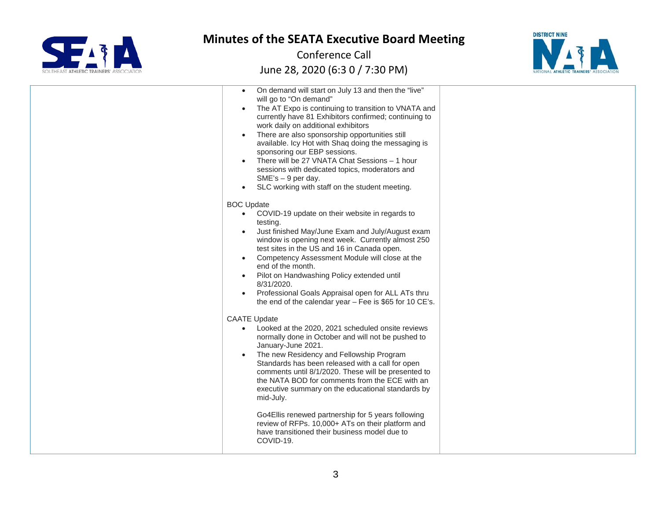



| On demand will start on July 13 and then the "live"<br>$\bullet$<br>will go to "On demand"<br>The AT Expo is continuing to transition to VNATA and<br>currently have 81 Exhibitors confirmed; continuing to<br>work daily on additional exhibitors<br>There are also sponsorship opportunities still<br>available. Icy Hot with Shaq doing the messaging is<br>sponsoring our EBP sessions.<br>There will be 27 VNATA Chat Sessions - 1 hour<br>sessions with dedicated topics, moderators and<br>$SME's - 9$ per day.<br>SLC working with staff on the student meeting.                                              |  |
|-----------------------------------------------------------------------------------------------------------------------------------------------------------------------------------------------------------------------------------------------------------------------------------------------------------------------------------------------------------------------------------------------------------------------------------------------------------------------------------------------------------------------------------------------------------------------------------------------------------------------|--|
| <b>BOC Update</b><br>COVID-19 update on their website in regards to<br>testing.<br>Just finished May/June Exam and July/August exam<br>window is opening next week. Currently almost 250<br>test sites in the US and 16 in Canada open.<br>Competency Assessment Module will close at the<br>end of the month.<br>Pilot on Handwashing Policy extended until<br>8/31/2020.<br>Professional Goals Appraisal open for ALL ATs thru<br>$\bullet$<br>the end of the calendar year $-$ Fee is \$65 for 10 CE's.                                                                                                            |  |
| <b>CAATE Update</b><br>Looked at the 2020, 2021 scheduled onsite reviews<br>$\bullet$<br>normally done in October and will not be pushed to<br>January-June 2021.<br>The new Residency and Fellowship Program<br>Standards has been released with a call for open<br>comments until 8/1/2020. These will be presented to<br>the NATA BOD for comments from the ECE with an<br>executive summary on the educational standards by<br>mid-July.<br>Go4Ellis renewed partnership for 5 years following<br>review of RFPs. 10,000+ ATs on their platform and<br>have transitioned their business model due to<br>COVID-19. |  |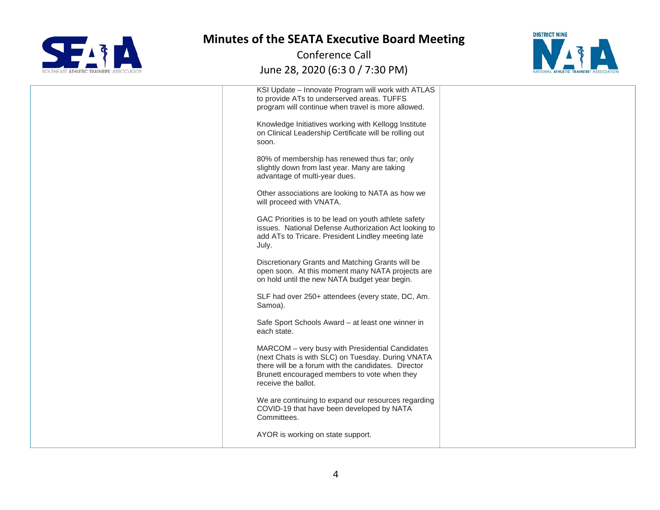



| KSI Update - Innovate Program will work with ATLAS<br>to provide ATs to underserved areas. TUFFS<br>program will continue when travel is more allowed.                                                                             |  |
|------------------------------------------------------------------------------------------------------------------------------------------------------------------------------------------------------------------------------------|--|
| Knowledge Initiatives working with Kellogg Institute<br>on Clinical Leadership Certificate will be rolling out<br>soon.                                                                                                            |  |
| 80% of membership has renewed thus far; only<br>slightly down from last year. Many are taking<br>advantage of multi-year dues.                                                                                                     |  |
| Other associations are looking to NATA as how we<br>will proceed with VNATA.                                                                                                                                                       |  |
| GAC Priorities is to be lead on youth athlete safety<br>issues. National Defense Authorization Act looking to<br>add ATs to Tricare. President Lindley meeting late<br>July.                                                       |  |
| Discretionary Grants and Matching Grants will be<br>open soon. At this moment many NATA projects are<br>on hold until the new NATA budget year begin.                                                                              |  |
| SLF had over 250+ attendees (every state, DC, Am.<br>Samoa).                                                                                                                                                                       |  |
| Safe Sport Schools Award - at least one winner in<br>each state.                                                                                                                                                                   |  |
| MARCOM - very busy with Presidential Candidates<br>(next Chats is with SLC) on Tuesday. During VNATA<br>there will be a forum with the candidates. Director<br>Brunett encouraged members to vote when they<br>receive the ballot. |  |
| We are continuing to expand our resources regarding<br>COVID-19 that have been developed by NATA<br>Committees.                                                                                                                    |  |
| AYOR is working on state support.                                                                                                                                                                                                  |  |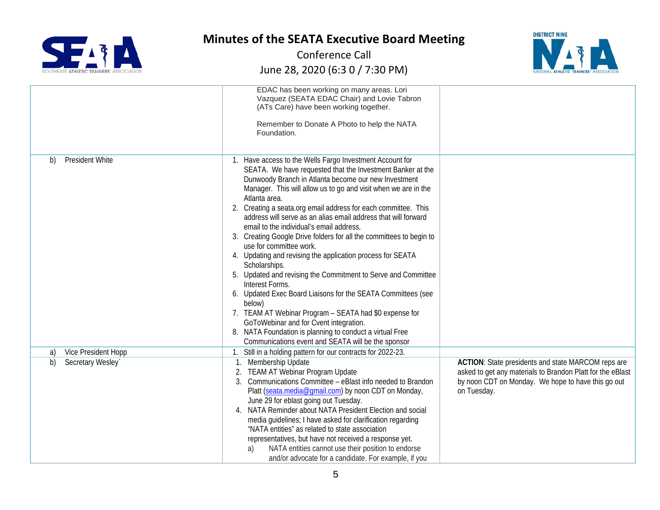



|                           | EDAC has been working on many areas. Lori<br>Vazquez (SEATA EDAC Chair) and Lovie Tabron<br>(ATs Care) have been working together.<br>Remember to Donate A Photo to help the NATA<br>Foundation.                                                                                                                                                                                                                                                                                                                                                                                                                                                                                                                                                                                                                                                                                                                                                                                                                          |                                                                                                                                                                                       |
|---------------------------|---------------------------------------------------------------------------------------------------------------------------------------------------------------------------------------------------------------------------------------------------------------------------------------------------------------------------------------------------------------------------------------------------------------------------------------------------------------------------------------------------------------------------------------------------------------------------------------------------------------------------------------------------------------------------------------------------------------------------------------------------------------------------------------------------------------------------------------------------------------------------------------------------------------------------------------------------------------------------------------------------------------------------|---------------------------------------------------------------------------------------------------------------------------------------------------------------------------------------|
| President White<br>b)     | 1. Have access to the Wells Fargo Investment Account for<br>SEATA. We have requested that the Investment Banker at the<br>Dunwoody Branch in Atlanta become our new Investment<br>Manager. This will allow us to go and visit when we are in the<br>Atlanta area.<br>2. Creating a seata.org email address for each committee. This<br>address will serve as an alias email address that will forward<br>email to the individual's email address.<br>3. Creating Google Drive folders for all the committees to begin to<br>use for committee work.<br>4. Updating and revising the application process for SEATA<br>Scholarships.<br>5. Updated and revising the Commitment to Serve and Committee<br>Interest Forms.<br>6. Updated Exec Board Liaisons for the SEATA Committees (see<br>below)<br>7. TEAM AT Webinar Program - SEATA had \$0 expense for<br>GoToWebinar and for Cvent integration.<br>NATA Foundation is planning to conduct a virtual Free<br>8.<br>Communications event and SEATA will be the sponsor |                                                                                                                                                                                       |
| Vice President Hopp<br>a) | 1. Still in a holding pattern for our contracts for 2022-23.                                                                                                                                                                                                                                                                                                                                                                                                                                                                                                                                                                                                                                                                                                                                                                                                                                                                                                                                                              |                                                                                                                                                                                       |
| Secretary Wesley`<br>b)   | Membership Update<br><b>TEAM AT Webinar Program Update</b><br>Communications Committee - eBlast info needed to Brandon<br>Platt (seata.media@gmail.com) by noon CDT on Monday,<br>June 29 for eblast going out Tuesday.<br>NATA Reminder about NATA President Election and social<br>4.<br>media guidelines; I have asked for clarification regarding<br>"NATA entities" as related to state association<br>representatives, but have not received a response yet.<br>NATA entities cannot use their position to endorse<br>a)<br>and/or advocate for a candidate. For example, if you                                                                                                                                                                                                                                                                                                                                                                                                                                    | ACTION: State presidents and state MARCOM reps are<br>asked to get any materials to Brandon Platt for the eBlast<br>by noon CDT on Monday. We hope to have this go out<br>on Tuesday. |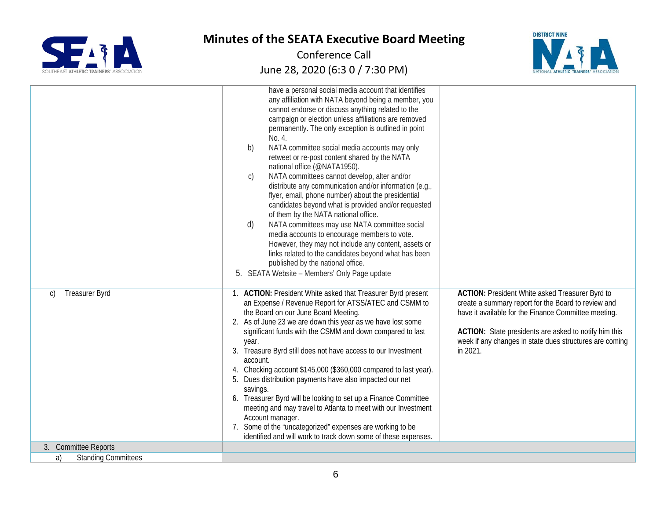



|                                        | have a personal social media account that identifies<br>any affiliation with NATA beyond being a member, you<br>cannot endorse or discuss anything related to the<br>campaign or election unless affiliations are removed<br>permanently. The only exception is outlined in point<br>No. 4.<br>NATA committee social media accounts may only<br>b)<br>retweet or re-post content shared by the NATA<br>national office (@NATA1950).<br>NATA committees cannot develop, alter and/or<br>$\mathsf{C}$<br>distribute any communication and/or information (e.g.,<br>flyer, email, phone number) about the presidential<br>candidates beyond what is provided and/or requested<br>of them by the NATA national office.<br>NATA committees may use NATA committee social<br>d)<br>media accounts to encourage members to vote.<br>However, they may not include any content, assets or<br>links related to the candidates beyond what has been<br>published by the national office.<br>SEATA Website - Members' Only Page update<br>5. |                                                                                                                                                                                                                                                                                                |
|----------------------------------------|-----------------------------------------------------------------------------------------------------------------------------------------------------------------------------------------------------------------------------------------------------------------------------------------------------------------------------------------------------------------------------------------------------------------------------------------------------------------------------------------------------------------------------------------------------------------------------------------------------------------------------------------------------------------------------------------------------------------------------------------------------------------------------------------------------------------------------------------------------------------------------------------------------------------------------------------------------------------------------------------------------------------------------------|------------------------------------------------------------------------------------------------------------------------------------------------------------------------------------------------------------------------------------------------------------------------------------------------|
| <b>Treasurer Byrd</b><br>$\mathcal{C}$ | 1. ACTION: President White asked that Treasurer Byrd present<br>an Expense / Revenue Report for ATSS/ATEC and CSMM to<br>the Board on our June Board Meeting.<br>2. As of June 23 we are down this year as we have lost some<br>significant funds with the CSMM and down compared to last<br>year.<br>3.<br>Treasure Byrd still does not have access to our Investment<br>account.<br>Checking account \$145,000 (\$360,000 compared to last year).<br>4.<br>Dues distribution payments have also impacted our net<br>5.<br>savings.<br>6. Treasurer Byrd will be looking to set up a Finance Committee<br>meeting and may travel to Atlanta to meet with our Investment<br>Account manager.<br>7. Some of the "uncategorized" expenses are working to be<br>identified and will work to track down some of these expenses.                                                                                                                                                                                                       | ACTION: President White asked Treasurer Byrd to<br>create a summary report for the Board to review and<br>have it available for the Finance Committee meeting.<br>ACTION: State presidents are asked to notify him this<br>week if any changes in state dues structures are coming<br>in 2021. |
| 3. Committee Reports                   |                                                                                                                                                                                                                                                                                                                                                                                                                                                                                                                                                                                                                                                                                                                                                                                                                                                                                                                                                                                                                                   |                                                                                                                                                                                                                                                                                                |
| <b>Standing Committees</b><br>a)       |                                                                                                                                                                                                                                                                                                                                                                                                                                                                                                                                                                                                                                                                                                                                                                                                                                                                                                                                                                                                                                   |                                                                                                                                                                                                                                                                                                |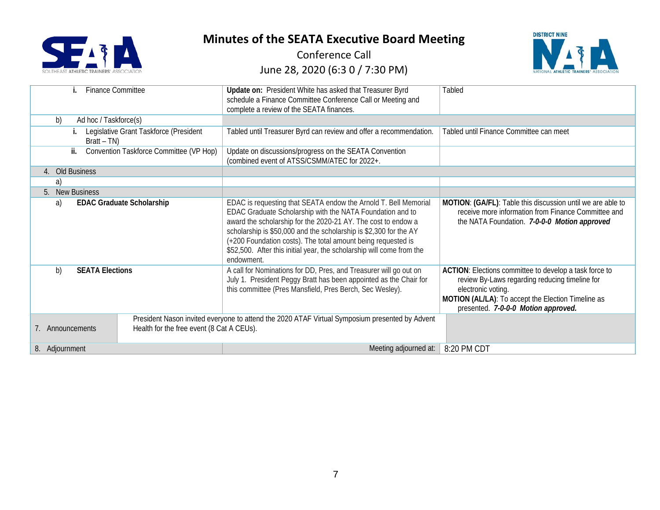



| <b>Finance Committee</b>                                      | Update on: President White has asked that Treasurer Byrd<br>schedule a Finance Committee Conference Call or Meeting and<br>complete a review of the SEATA finances.                                                                                                                                                                                                                                                       | Tabled                                                                                                                                                                                                                      |
|---------------------------------------------------------------|---------------------------------------------------------------------------------------------------------------------------------------------------------------------------------------------------------------------------------------------------------------------------------------------------------------------------------------------------------------------------------------------------------------------------|-----------------------------------------------------------------------------------------------------------------------------------------------------------------------------------------------------------------------------|
| b)<br>Ad hoc / Taskforce(s)                                   |                                                                                                                                                                                                                                                                                                                                                                                                                           |                                                                                                                                                                                                                             |
| Legislative Grant Taskforce (President<br>$Bratt-TN)$         | Tabled until Treasurer Byrd can review and offer a recommendation.                                                                                                                                                                                                                                                                                                                                                        | Tabled until Finance Committee can meet                                                                                                                                                                                     |
| Convention Taskforce Committee (VP Hop)<br>ii.                | Update on discussions/progress on the SEATA Convention<br>(combined event of ATSS/CSMM/ATEC for 2022+.                                                                                                                                                                                                                                                                                                                    |                                                                                                                                                                                                                             |
| Old Business<br>4.                                            |                                                                                                                                                                                                                                                                                                                                                                                                                           |                                                                                                                                                                                                                             |
| a)                                                            |                                                                                                                                                                                                                                                                                                                                                                                                                           |                                                                                                                                                                                                                             |
| <b>New Business</b><br>5.                                     |                                                                                                                                                                                                                                                                                                                                                                                                                           |                                                                                                                                                                                                                             |
| <b>EDAC Graduate Scholarship</b><br>a)                        | EDAC is requesting that SEATA endow the Arnold T. Bell Memorial<br>EDAC Graduate Scholarship with the NATA Foundation and to<br>award the scholarship for the 2020-21 AY. The cost to endow a<br>scholarship is \$50,000 and the scholarship is \$2,300 for the AY<br>(+200 Foundation costs). The total amount being requested is<br>\$52,500. After this initial year, the scholarship will come from the<br>endowment. | MOTION: (GA/FL): Table this discussion until we are able to<br>receive more information from Finance Committee and<br>the NATA Foundation. 7-0-0-0 Motion approved                                                          |
| b)<br><b>SEATA Elections</b>                                  | A call for Nominations for DD, Pres, and Treasurer will go out on<br>July 1. President Peggy Bratt has been appointed as the Chair for<br>this committee (Pres Mansfield, Pres Berch, Sec Wesley).                                                                                                                                                                                                                        | ACTION: Elections committee to develop a task force to<br>review By-Laws regarding reducing timeline for<br>electronic voting.<br>MOTION (AL/LA): To accept the Election Timeline as<br>presented. 7-0-0-0 Motion approved. |
| Health for the free event (8 Cat A CEUs).<br>7. Announcements | President Nason invited everyone to attend the 2020 ATAF Virtual Symposium presented by Advent                                                                                                                                                                                                                                                                                                                            |                                                                                                                                                                                                                             |
| 8. Adjournment                                                | Meeting adjourned at:<br>8:20 PM CDT                                                                                                                                                                                                                                                                                                                                                                                      |                                                                                                                                                                                                                             |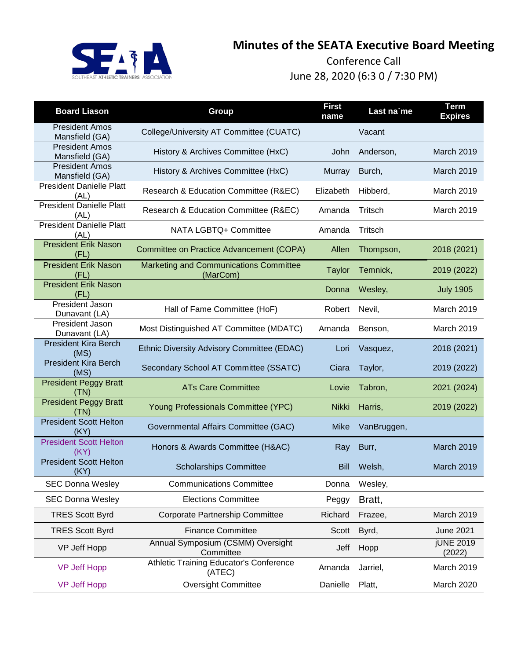

| <b>Board Liason</b>                     | Group                                                     | <b>First</b><br>name | Last na'me  | <b>Term</b><br><b>Expires</b> |
|-----------------------------------------|-----------------------------------------------------------|----------------------|-------------|-------------------------------|
| <b>President Amos</b><br>Mansfield (GA) | College/University AT Committee (CUATC)                   |                      | Vacant      |                               |
| <b>President Amos</b><br>Mansfield (GA) | History & Archives Committee (HxC)                        | John                 | Anderson,   | March 2019                    |
| <b>President Amos</b><br>Mansfield (GA) | History & Archives Committee (HxC)                        | Murray               | Burch,      | March 2019                    |
| <b>President Danielle Platt</b><br>(AL) | Research & Education Committee (R&EC)                     | Elizabeth            | Hibberd,    | March 2019                    |
| <b>President Danielle Platt</b><br>(AL) | Research & Education Committee (R&EC)                     | Amanda               | Tritsch     | March 2019                    |
| <b>President Danielle Platt</b><br>(AL) | NATA LGBTQ+ Committee                                     | Amanda               | Tritsch     |                               |
| <b>President Erik Nason</b><br>(FL)     | Committee on Practice Advancement (COPA)                  | Allen                | Thompson,   | 2018 (2021)                   |
| <b>President Erik Nason</b><br>(FL)     | <b>Marketing and Communications Committee</b><br>(MarCom) | <b>Taylor</b>        | Temnick,    | 2019 (2022)                   |
| <b>President Erik Nason</b><br>(FL)     |                                                           | Donna                | Wesley,     | <b>July 1905</b>              |
| President Jason<br>Dunavant (LA)        | Hall of Fame Committee (HoF)                              | Robert               | Nevil,      | March 2019                    |
| President Jason<br>Dunavant (LA)        | Most Distinguished AT Committee (MDATC)                   | Amanda               | Benson,     | March 2019                    |
| <b>President Kira Berch</b><br>(MS)     | Ethnic Diversity Advisory Committee (EDAC)                | Lori                 | Vasquez,    | 2018 (2021)                   |
| <b>President Kira Berch</b><br>(MS)     | Secondary School AT Committee (SSATC)                     | Ciara                | Taylor,     | 2019 (2022)                   |
| <b>President Peggy Bratt</b><br>(TN)    | <b>ATs Care Committee</b>                                 | Lovie                | Tabron,     | 2021 (2024)                   |
| <b>President Peggy Bratt</b><br>(TN)    | Young Professionals Committee (YPC)                       | <b>Nikki</b>         | Harris,     | 2019 (2022)                   |
| <b>President Scott Helton</b><br>(KY)   | Governmental Affairs Committee (GAC)                      | Mike                 | VanBruggen, |                               |
| <b>President Scott Helton</b><br>(KY)   | Honors & Awards Committee (H&AC)                          | Ray                  | Burr,       | March 2019                    |
| <b>President Scott Helton</b><br>(KY)   | <b>Scholarships Committee</b>                             | <b>Bill</b>          | Welsh,      | March 2019                    |
| <b>SEC Donna Wesley</b>                 | <b>Communications Committee</b>                           | Donna                | Wesley,     |                               |
| <b>SEC Donna Wesley</b>                 | <b>Elections Committee</b>                                | Peggy                | Bratt,      |                               |
| <b>TRES Scott Byrd</b>                  | Corporate Partnership Committee                           | Richard              | Frazee,     | March 2019                    |
| <b>TRES Scott Byrd</b>                  | <b>Finance Committee</b>                                  | Scott                | Byrd,       | <b>June 2021</b>              |
| VP Jeff Hopp                            | Annual Symposium (CSMM) Oversight<br>Committee            | Jeff                 | Hopp        | <b>jUNE 2019</b><br>(2022)    |
| <b>VP Jeff Hopp</b>                     | Athletic Training Educator's Conference<br>(ATEC)         | Amanda               | Jarriel,    | March 2019                    |
| <b>VP Jeff Hopp</b>                     | <b>Oversight Committee</b>                                | Danielle             | Platt,      | March 2020                    |